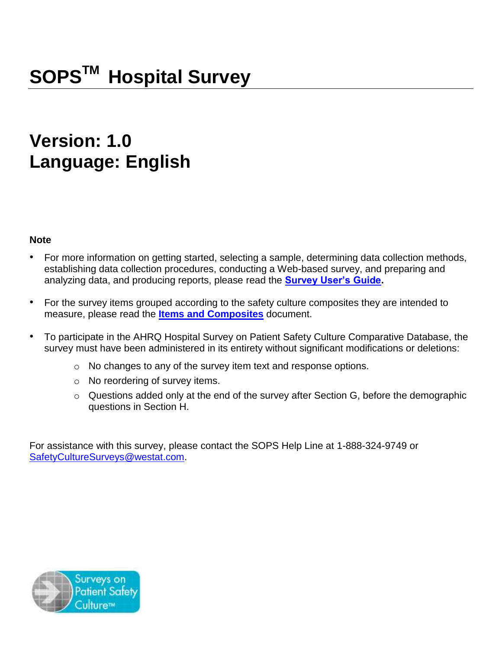# **Version: 1.0 Language: English**

## **Note**

- For more information on getting started, selecting a sample, determining data collection methods, establishing data collection procedures, conducting a Web-based survey, and preparing and analyzing data, and producing reports, please read the **[Survey User's Guide.](http://www.ahrq.gov/sites/default/files/wysiwyg/professionals/quality-patient-safety/patientsafetyculture/hospital/userguide/hospcult.pdf)**
- For the survey items grouped according to the safety culture composites they are intended to measure, please read the **[Items and Composites](https://www.ahrq.gov/sites/default/files/wysiwyg/professionals/quality-patient-safety/patientsafetyculture/hospital/userguide/hospital-survey-items.pdf)** document.
- To participate in the AHRQ Hospital Survey on Patient Safety Culture Comparative Database, the survey must have been administered in its entirety without significant modifications or deletions:
	- o No changes to any of the survey item text and response options.
	- o No reordering of survey items.
	- o Questions added only at the end of the survey after Section G, before the demographic questions in Section H.

For assistance with this survey, please contact the SOPS Help Line at 1-888-324-9749 or [SafetyCultureSurveys@westat.com.](mailto:SafetyCultureSurveys@westat.com)

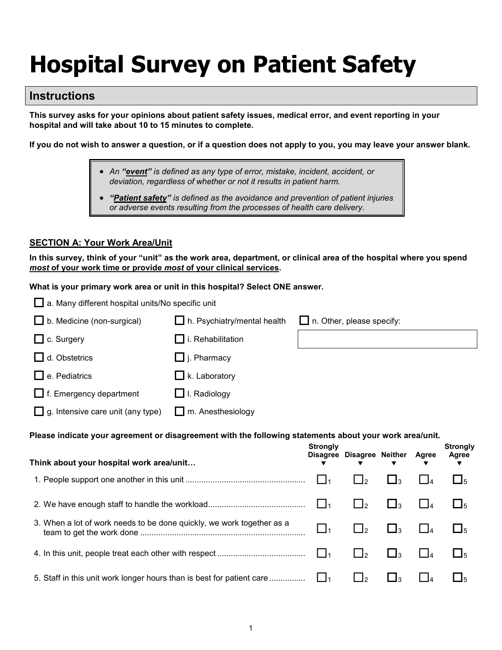# **Hospital Survey on Patient Safety**

# **Instructions**

**This survey asks for your opinions about patient safety issues, medical error, and event reporting in your hospital and will take about 10 to 15 minutes to complete.** 

**If you do not wish to answer a question, or if a question does not apply to you, you may leave your answer blank.**

- *An "event" is defined as any type of error, mistake, incident, accident, or deviation, regardless of whether or not it results in patient harm.*
- *"Patient safety" is defined as the avoidance and prevention of patient injuries or adverse events resulting from the processes of health care delivery.*

#### **SECTION A: Your Work Area/Unit**

**In this survey, think of your "unit" as the work area, department, or clinical area of the hospital where you spend**  *most* **of your work time or provide** *most* **of your clinical services.** 

**What is your primary work area or unit in this hospital? Select ONE answer.** 

| $\Box$ a. Many different hospital units/No specific unit                                                |                             |                                    |                           |                     |          |                          |  |
|---------------------------------------------------------------------------------------------------------|-----------------------------|------------------------------------|---------------------------|---------------------|----------|--------------------------|--|
| b. Medicine (non-surgical)                                                                              | h. Psychiatry/mental health |                                    | n. Other, please specify: |                     |          |                          |  |
| c. Surgery                                                                                              | $\Box$ i. Rehabilitation    |                                    |                           |                     |          |                          |  |
| d. Obstetrics                                                                                           | $\Box$ j. Pharmacy          |                                    |                           |                     |          |                          |  |
| e. Pediatrics                                                                                           | $\Box$ k. Laboratory        |                                    |                           |                     |          |                          |  |
| $\Box$ f. Emergency department                                                                          | $\Box$ I. Radiology         |                                    |                           |                     |          |                          |  |
| g. Intensive care unit (any type)                                                                       | m. Anesthesiology           |                                    |                           |                     |          |                          |  |
| Please indicate your agreement or disagreement with the following statements about your work area/unit. |                             |                                    |                           |                     |          |                          |  |
|                                                                                                         |                             |                                    |                           |                     |          |                          |  |
|                                                                                                         |                             | <b>Strongly</b><br><b>Disagree</b> | <b>Disagree Neither</b>   |                     | Agree    | <b>Strongly</b><br>Agree |  |
| Think about your hospital work area/unit                                                                |                             |                                    |                           |                     |          |                          |  |
|                                                                                                         |                             | $\Box$ 1                           | $\Box$ 2                  | $\Box$ 3            | $\Box$   | $\Box_5$                 |  |
|                                                                                                         |                             | $\Box$                             | $\Box$ 2                  | $\square_3$         | $\Box_4$ | $\square_5$              |  |
| 3. When a lot of work needs to be done quickly, we work together as a                                   |                             | $\Box_1$                           | $\Box$ <sub>2</sub>       | $\Box$ <sub>3</sub> | $\Box$   | $\square$                |  |
|                                                                                                         |                             | $\Box_1$                           | $\Box$ <sub>2</sub>       | $\Box_3$            | $\Box$ 4 | $\square_5$              |  |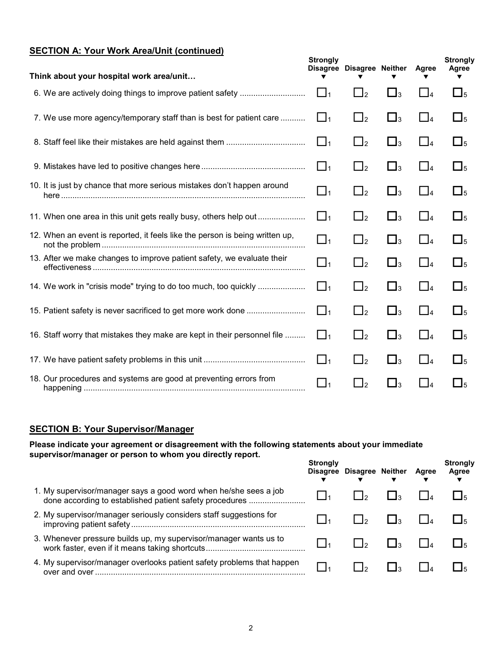# **SECTION A: Your Work Area/Unit (continued)**

| Think about your hospital work area/unit                                     | <b>Strongly</b> | Disagree Disagree Neither |                     | Agree    | <b>Strongly</b><br>Agree |
|------------------------------------------------------------------------------|-----------------|---------------------------|---------------------|----------|--------------------------|
|                                                                              | $\Box$ 1        | $\Box$ <sub>2</sub>       | $\Box_3$            | $\Box_4$ | $\Box_5$                 |
| 7. We use more agency/temporary staff than is best for patient care          | $\Box$ 1        | $\Box$ <sub>2</sub>       | $\Box$ <sub>3</sub> | $\Box_4$ | $\square$                |
|                                                                              | $\Box_1$        | $\Box$ <sub>2</sub>       | $\Box_3$            | $\Box_4$ | $\Box_5$                 |
|                                                                              | $\Box$ 1        | $\Box$ <sub>2</sub>       | $\Box$ <sub>3</sub> | $\Box_4$ | $\Box$ <sub>5</sub>      |
| 10. It is just by chance that more serious mistakes don't happen around      | $\Box_1$        | $\Box$ <sub>2</sub>       | $\Box_3$            | $\Box_4$ | $\square_5$              |
|                                                                              | $\Box_1$        | $\Box$ <sub>2</sub>       | $\Box_3$            | $\Box_4$ | $\square$ <sub>5</sub>   |
| 12. When an event is reported, it feels like the person is being written up, | $\Box_1$        | $\Box$ <sub>2</sub>       | $\Box_3$            | $\Box$ 4 | $\square_5$              |
| 13. After we make changes to improve patient safety, we evaluate their       | $\Box_1$        | $\Box$ <sub>2</sub>       | $\Box_3$            | $\Box_4$ | $\square_5$              |
|                                                                              | $\Box_1$        | $\Box$ <sub>2</sub>       | $\Box$ <sub>3</sub> | $\Box_4$ | $\square$                |
|                                                                              | $\Box_1$        | $\Box$ <sub>2</sub>       | $\square_3$         | $\Box_4$ | $\square_5$              |
| 16. Staff worry that mistakes they make are kept in their personnel file     | $\Box$ 1        | $\Box$ <sub>2</sub>       | $\Box_3$            | $\Box$ 4 | $\square_5$              |
|                                                                              | $\Box_1$        | $\Box$ <sub>2</sub>       | $\Box_3$            | $\Box_4$ | $\square_5$              |
| 18. Our procedures and systems are good at preventing errors from            | $\Box_1$        | $\Box_2$                  | $\square_3$         | $\Box_4$ | $\square_5$              |

#### **SECTION B: Your Supervisor/Manager**

**Please indicate your agreement or disagreement with the following statements about your immediate supervisor/manager or person to whom you directly report.** 

|                                                                                                                             | <b>Strongly</b><br><b>Disagree</b> | <b>Disagree Neither</b>  | Agree | <b>Strongly</b><br>Agree |
|-----------------------------------------------------------------------------------------------------------------------------|------------------------------------|--------------------------|-------|--------------------------|
| 1. My supervisor/manager says a good word when he/she sees a job<br>done according to established patient safety procedures |                                    | ിറ                       |       |                          |
| 2. My supervisor/manager seriously considers staff suggestions for                                                          |                                    | $\overline{\phantom{a}}$ |       |                          |
| 3. Whenever pressure builds up, my supervisor/manager wants us to                                                           |                                    |                          |       |                          |
| 4. My supervisor/manager overlooks patient safety problems that happen                                                      |                                    |                          |       |                          |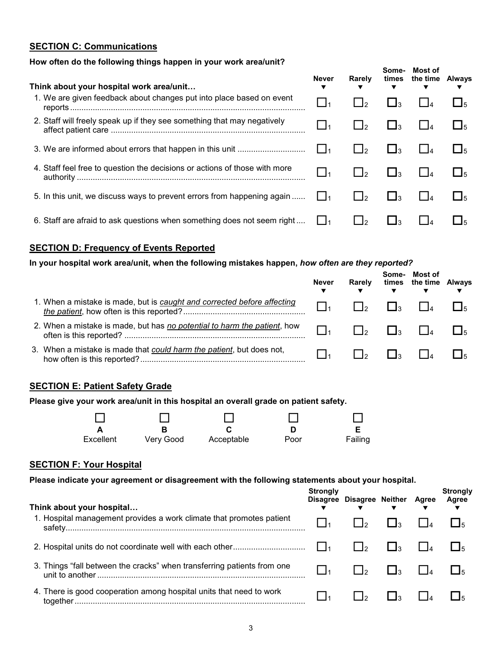#### **SECTION C: Communications**

#### **How often do the following things happen in your work area/unit?**

| Think about your hospital work area/unit                                   | Never     | Rarely         | Some-                     | Most of<br>times the time Always |  |
|----------------------------------------------------------------------------|-----------|----------------|---------------------------|----------------------------------|--|
| 1. We are given feedback about changes put into place based on event       | $\Box_1$  |                |                           |                                  |  |
| 2. Staff will freely speak up if they see something that may negatively    | $\vert$ 1 |                | $\mathbf{L}$ $\mathbf{I}$ |                                  |  |
|                                                                            | l 11      | $\overline{1}$ | $\mathbf{1}$ $\mathbf{1}$ |                                  |  |
| 4. Staff feel free to question the decisions or actions of those with more | 1         | $1 \mid 2$     | $\mathbf{1}_3$            |                                  |  |
| 5. In this unit, we discuss ways to prevent errors from happening again    |           | $\frac{1}{2}$  | $\Box$ 3                  |                                  |  |
| 6. Staff are afraid to ask questions when something does not seem right    |           |                |                           |                                  |  |

#### **SECTION D: Frequency of Events Reported**

#### **In your hospital work area/unit, when the following mistakes happen,** *how often are they reported?*

|                                                                          | <b>Never</b> | Rarely       | Some-<br>$\overline{\mathbf{v}}$ | Most of<br>times the time Always |  |
|--------------------------------------------------------------------------|--------------|--------------|----------------------------------|----------------------------------|--|
| 1. When a mistake is made, but is caught and corrected before affecting  | I La         | $\mathsf{L}$ | $\mathbf{I}$                     | $\mathbf{L}$                     |  |
| 2. When a mistake is made, but has no potential to harm the patient, how |              | $\mathsf{L}$ | $\mathsf{L}$                     | $\mathbf{L}$                     |  |
| 3. When a mistake is made that could harm the patient, but does not,     |              |              | $\mathbf{1}$ $\mathbf{1}$        |                                  |  |

#### **SECTION E: Patient Safety Grade**

#### **Please give your work area/unit in this hospital an overall grade on patient safety.**

| Excellent | Very Good | Acceptable | Poor | Failing |
|-----------|-----------|------------|------|---------|

#### **SECTION F: Your Hospital**

**Please indicate your agreement or disagreement with the following statements about your hospital.** 

| Think about your hospital                                               | <b>Strongly</b> | Disagree Disagree Neither Agree | ▼                   | <b>Strongly</b><br>Agree |
|-------------------------------------------------------------------------|-----------------|---------------------------------|---------------------|--------------------------|
| 1. Hospital management provides a work climate that promotes patient    |                 |                                 | $\Box$ 3            |                          |
|                                                                         |                 | $\mathsf{L}$                    | $\mathsf{I}$        |                          |
| 3. Things "fall between the cracks" when transferring patients from one |                 | $\mathsf{L}$                    | $\Box$ <sub>3</sub> |                          |
| 4. There is good cooperation among hospital units that need to work     |                 | صا⊺                             | $\mathsf{I}_3$      |                          |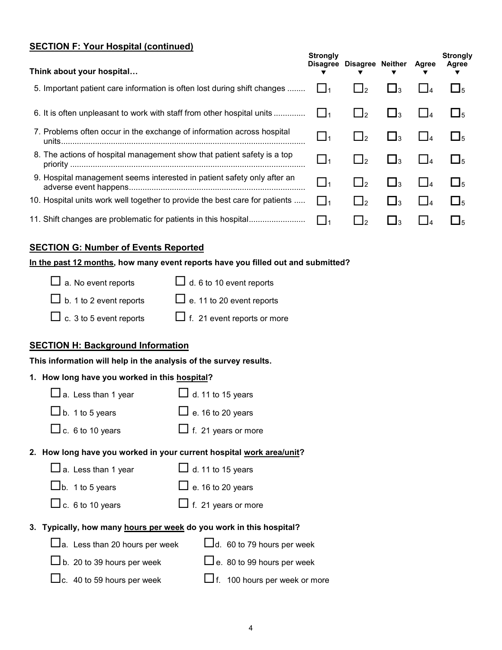#### **SECTION F: Your Hospital (continued)**

| Think about your hospital                                                   | <b>Strongly</b><br><b>Disagree</b> | Disagree Neither          |                     | Agree    | <b>Strongly</b><br>Agree |
|-----------------------------------------------------------------------------|------------------------------------|---------------------------|---------------------|----------|--------------------------|
| 5. Important patient care information is often lost during shift changes    |                                    | $\Box$ 2                  | $\Box$ 3            |          | $\Box$ <sub>5</sub>      |
| 6. It is often unpleasant to work with staff from other hospital units      | l 11                               | $\Box$ 2                  | $\Box$ 3            |          | $L_{5}$                  |
| 7. Problems often occur in the exchange of information across hospital      | $\Box$ 1                           | □2                        | $\Box$ 3            |          | $\Box$ <sub>5</sub>      |
| 8. The actions of hospital management show that patient safety is a top     | $\_1$                              | ∐∍                        | $\Box$ <sub>3</sub> |          | $\Box$ <sub>5</sub>      |
| 9. Hospital management seems interested in patient safety only after an     | $\frac{1}{2}$                      | $\mathbf{1}$ $\mathbf{1}$ | $\Box$ 3            |          | $\mathsf{L}$             |
| 10. Hospital units work well together to provide the best care for patients | $\Box_1$                           | $\sqcup_2$                | $\Box$ <sub>3</sub> | $\Box$ 4 | $\Box$ <sub>5</sub>      |
| 11. Shift changes are problematic for patients in this hospital             | l l1                               | $\mathbf{1}$ $\mathbf{1}$ | ∟ا                  |          | $\Box$ 5                 |
|                                                                             |                                    |                           |                     |          |                          |

#### **SECTION G: Number of Events Reported**

#### **In the past 12 months, how many event reports have you filled out and submitted?**

| $\Box$ d. 6 to 10 event reports    |
|------------------------------------|
| $\Box$ e. 11 to 20 event reports   |
| $\Box$ f. 21 event reports or more |
|                                    |

#### **SECTION H: Background Information**

**This information will help in the analysis of the survey results.**

#### **1. How long have you worked in this hospital?**

| $\Box$ a. Less than 1 year            | $\Box$ d. 11 to 15 years                                             |
|---------------------------------------|----------------------------------------------------------------------|
| $\Box$ b. 1 to 5 years                | $\Box$ e. 16 to 20 years                                             |
| $\Box$ c. 6 to 10 years               | $\Box$ f. 21 years or more                                           |
|                                       | 2. How long have you worked in your current hospital work area/unit? |
| $\Box$ a. Less than 1 year            | $\Box$ d. 11 to 15 years                                             |
| $\Box$ b. 1 to 5 years                | $\Box$ e. 16 to 20 years                                             |
| $\Box$ c. 6 to 10 years               | $\Box$ f. 21 years or more                                           |
|                                       | 3. Typically, how many hours per week do you work in this hospital?  |
| $\Box$ a. Less than 20 hours per week | $\Box$ d. 60 to 79 hours per week                                    |
| $\Box$ b. 20 to 39 hours per week     | $\Box$ e. 80 to 99 hours per week                                    |

| $\Box$ c. 40 to 59 hours per week | $\Box$ f. 100 hours per week or more |
|-----------------------------------|--------------------------------------|
|                                   |                                      |